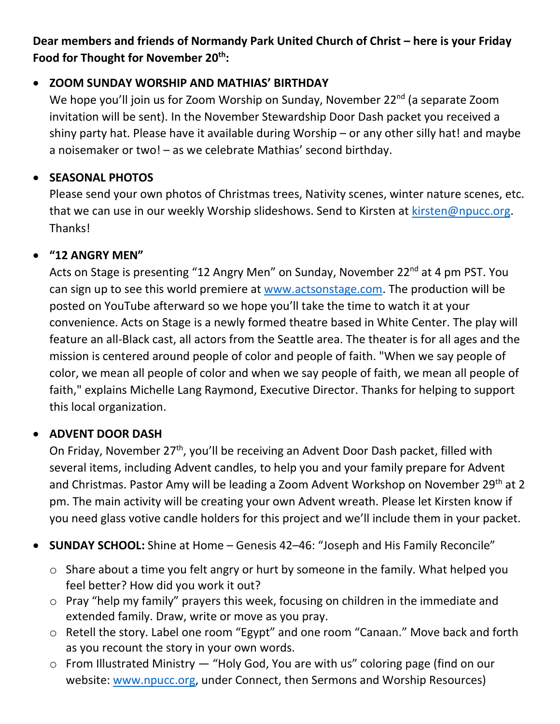#### **Dear members and friends of Normandy Park United Church of Christ – here is your Friday Food for Thought for November 20th:**

#### • **ZOOM SUNDAY WORSHIP AND MATHIAS' BIRTHDAY**

We hope you'll join us for Zoom Worship on Sunday, November 22<sup>nd</sup> (a separate Zoom invitation will be sent). In the November Stewardship Door Dash packet you received a shiny party hat. Please have it available during Worship – or any other silly hat! and maybe a noisemaker or two! – as we celebrate Mathias' second birthday.

#### • **SEASONAL PHOTOS**

Please send your own photos of Christmas trees, Nativity scenes, winter nature scenes, etc. that we can use in our weekly Worship slideshows. Send to Kirsten at [kirsten@npucc.org.](mailto:kirsten@npucc.org) Thanks!

## • **"12 ANGRY MEN"**

Acts on Stage is presenting "12 Angry Men" on Sunday, November 22<sup>nd</sup> at 4 pm PST. You can sign up to see this world premiere at [www.actsonstage.com.](http://www.actsonstage.com/) The production will be posted on YouTube afterward so we hope you'll take the time to watch it at your convenience. Acts on Stage is a newly formed theatre based in White Center. The play will feature an all-Black cast, all actors from the Seattle area. The theater is for all ages and the mission is centered around people of color and people of faith. "When we say people of color, we mean all people of color and when we say people of faith, we mean all people of faith," explains Michelle Lang Raymond, Executive Director. Thanks for helping to support this local organization.

## • **ADVENT DOOR DASH**

On Friday, November 27<sup>th</sup>, you'll be receiving an Advent Door Dash packet, filled with several items, including Advent candles, to help you and your family prepare for Advent and Christmas. Pastor Amy will be leading a Zoom Advent Workshop on November 29<sup>th</sup> at 2 pm. The main activity will be creating your own Advent wreath. Please let Kirsten know if you need glass votive candle holders for this project and we'll include them in your packet.

• **SUNDAY SCHOOL:** Shine at Home – Genesis 42–46: "Joseph and His Family Reconcile"

- o Share about a time you felt angry or hurt by someone in the family. What helped you feel better? How did you work it out?
- o Pray "help my family" prayers this week, focusing on children in the immediate and extended family. Draw, write or move as you pray.
- o Retell the story. Label one room "Egypt" and one room "Canaan." Move back and forth as you recount the story in your own words.
- o From Illustrated Ministry "Holy God, You are with us" coloring page (find on our website: [www.npucc.org,](http://www.npucc.org/) under Connect, then Sermons and Worship Resources)